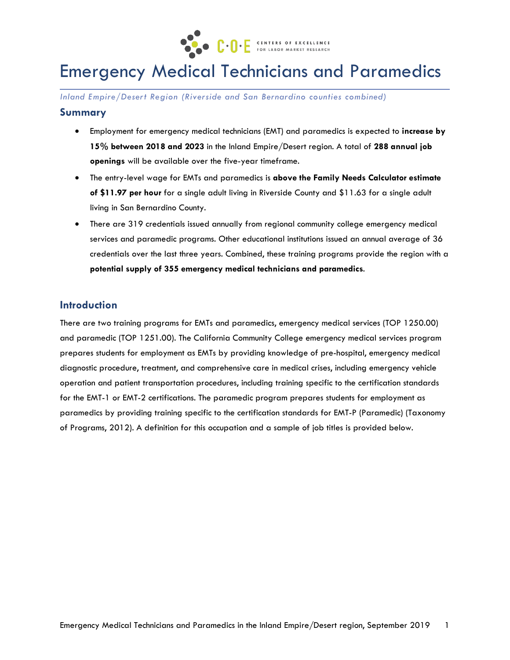

# Emergency Medical Technicians and Paramedics

*Inland Empire/Desert Region (Riverside and San Bernardino counties combined)* 

## **Summary**

- Employment for emergency medical technicians (EMT) and paramedics is expected to **increase by 15% between 2018 and 2023** in the Inland Empire/Desert region. A total of **288 annual job openings** will be available over the five-year timeframe.
- The entry-level wage for EMTs and paramedics is **above the Family Needs Calculator estimate of \$11.97 per hour** for a single adult living in Riverside County and \$11.63 for a single adult living in San Bernardino County.
- There are 319 credentials issued annually from regional community college emergency medical services and paramedic programs. Other educational institutions issued an annual average of 36 credentials over the last three years. Combined, these training programs provide the region with a **potential supply of 355 emergency medical technicians and paramedics**.

# **Introduction**

There are two training programs for EMTs and paramedics, emergency medical services (TOP 1250.00) and paramedic (TOP 1251.00). The California Community College emergency medical services program prepares students for employment as EMTs by providing knowledge of pre-hospital, emergency medical diagnostic procedure, treatment, and comprehensive care in medical crises, including emergency vehicle operation and patient transportation procedures, including training specific to the certification standards for the EMT-1 or EMT-2 certifications. The paramedic program prepares students for employment as paramedics by providing training specific to the certification standards for EMT-P (Paramedic) (Taxonomy of Programs, 2012). A definition for this occupation and a sample of job titles is provided below.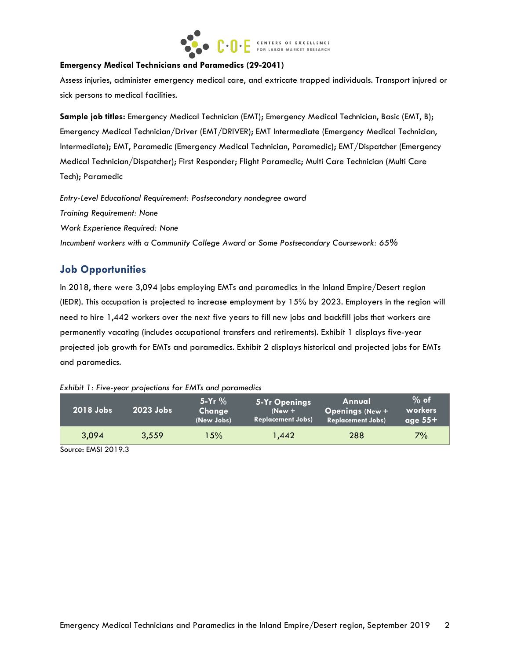

#### **Emergency Medical Technicians and Paramedics (29-2041)**

Assess injuries, administer emergency medical care, and extricate trapped individuals. Transport injured or sick persons to medical facilities.

**Sample job titles:** Emergency Medical Technician (EMT); Emergency Medical Technician, Basic (EMT, B); Emergency Medical Technician/Driver (EMT/DRIVER); EMT Intermediate (Emergency Medical Technician, Intermediate); EMT, Paramedic (Emergency Medical Technician, Paramedic); EMT/Dispatcher (Emergency Medical Technician/Dispatcher); First Responder; Flight Paramedic; Multi Care Technician (Multi Care Tech); Paramedic

*Entry-Level Educational Requirement: Postsecondary nondegree award Training Requirement: None Work Experience Required: None Incumbent workers with a Community College Award or Some Postsecondary Coursework: 65%*

# **Job Opportunities**

In 2018, there were 3,094 jobs employing EMTs and paramedics in the Inland Empire/Desert region (IEDR). This occupation is projected to increase employment by 15% by 2023. Employers in the region will need to hire 1,442 workers over the next five years to fill new jobs and backfill jobs that workers are permanently vacating (includes occupational transfers and retirements). Exhibit 1 displays five-year projected job growth for EMTs and paramedics. Exhibit 2 displays historical and projected jobs for EMTs and paramedics.

| Exhibit 1: Five-year projections for EMTs and parameaics. |             |                                    |                                                       |                                                              |                                |
|-----------------------------------------------------------|-------------|------------------------------------|-------------------------------------------------------|--------------------------------------------------------------|--------------------------------|
| 2018 Jobs                                                 | $2023$ Jobs | $5 - Yr$ %<br>Change<br>(New Jobs) | 5-Yr Openings<br>$(New +$<br><b>Replacement Jobs)</b> | Annual<br><b>Openings (New +</b><br><b>Replacement Jobs)</b> | $%$ of<br>workers<br>age $55+$ |
| 3,094                                                     | 3,559       | 5% ا                               | 1.442                                                 | 288                                                          | $7\%$                          |

| Exhibit 1: Five-year projections for EMTs and paramedics |  |  |  |  |  |  |
|----------------------------------------------------------|--|--|--|--|--|--|
|----------------------------------------------------------|--|--|--|--|--|--|

Source: EMSI 2019.3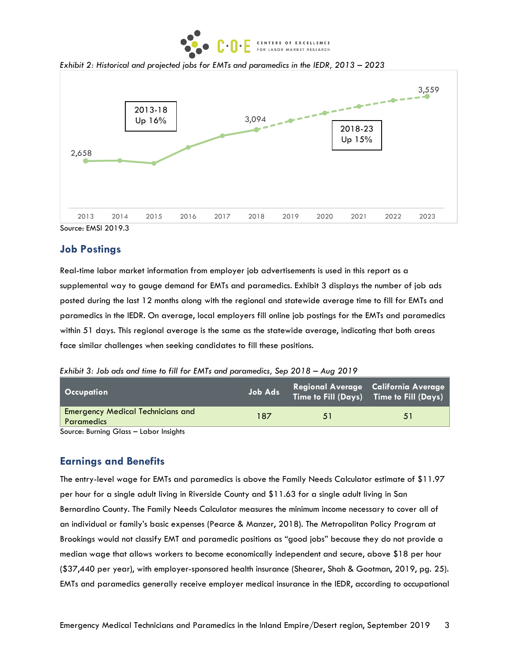

*Exhibit 2: Historical and projected jobs for EMTs and paramedics in the IEDR, 2013 – 2023* 



Source: EMSI 2019.3

### **Job Postings**

Real-time labor market information from employer job advertisements is used in this report as a supplemental way to gauge demand for EMTs and paramedics. Exhibit 3 displays the number of job ads posted during the last 12 months along with the regional and statewide average time to fill for EMTs and paramedics in the IEDR. On average, local employers fill online job postings for the EMTs and paramedics within 51 days. This regional average is the same as the statewide average, indicating that both areas face similar challenges when seeking candidates to fill these positions.

*Exhibit 3: Job ads and time to fill for EMTs and paramedics, Sep 2018 – Aug 2019*

| Occupation                                                    | Job Ads |    | Regional Average California Average<br>Time to Fill (Days) Time to Fill (Days) |
|---------------------------------------------------------------|---------|----|--------------------------------------------------------------------------------|
| <b>Emergency Medical Technicians and</b><br><b>Paramedics</b> | 187     | 51 | 51                                                                             |
| Source: Burning Glass - Labor Insights                        |         |    |                                                                                |

#### **Earnings and Benefits**

The entry-level wage for EMTs and paramedics is above the Family Needs Calculator estimate of \$11.97 per hour for a single adult living in Riverside County and \$11.63 for a single adult living in San Bernardino County. The Family Needs Calculator measures the minimum income necessary to cover all of an individual or family's basic expenses (Pearce & Manzer, 2018). The Metropolitan Policy Program at Brookings would not classify EMT and paramedic positions as "good jobs" because they do not provide a median wage that allows workers to become economically independent and secure, above \$18 per hour (\$37,440 per year), with employer-sponsored health insurance (Shearer, Shah & Gootman, 2019, pg. 25). EMTs and paramedics generally receive employer medical insurance in the IEDR, according to occupational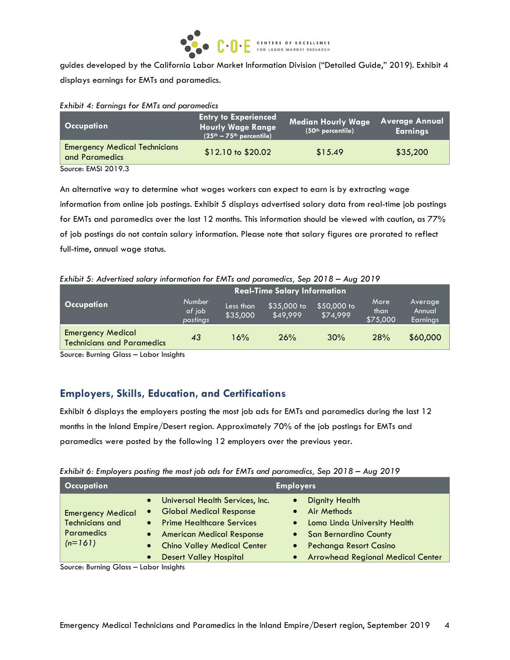

guides developed by the California Labor Market Information Division ("Detailed Guide," 2019). Exhibit 4 displays earnings for EMTs and paramedics.

|  |  |  | Exhibit 4: Earnings for EMTs and paramedics |
|--|--|--|---------------------------------------------|
|  |  |  |                                             |

| <b>Occupation</b>                                      | <b>Entry to Experienced</b><br><b>Hourly Wage Range</b><br>$(25th - 75th$ percentile) | <b>Median Hourly Wage</b><br>(50th percentile) | <b>Average Annual</b><br><b>Earnings</b> |
|--------------------------------------------------------|---------------------------------------------------------------------------------------|------------------------------------------------|------------------------------------------|
| <b>Emergency Medical Technicians</b><br>and Paramedics | $$12.10 \text{ to } $20.02$$                                                          | \$15.49                                        | \$35,200                                 |
| Source: EMSI 2019.3                                    |                                                                                       |                                                |                                          |

An alternative way to determine what wages workers can expect to earn is by extracting wage information from online job postings. Exhibit 5 displays advertised salary data from real-time job postings for EMTs and paramedics over the last 12 months. This information should be viewed with caution, as 77% of job postings do not contain salary information. Please note that salary figures are prorated to reflect full-time, annual wage status.

*Exhibit 5: Advertised salary information for EMTs and paramedics, Sep 2018 – Aug 2019*

| <b>Real-Time Salary Information</b>                           |                                     |                       |                         |                         |                          |                               |
|---------------------------------------------------------------|-------------------------------------|-----------------------|-------------------------|-------------------------|--------------------------|-------------------------------|
| <b>Occupation</b>                                             | <b>Number</b><br>of job<br>postings | Less than<br>\$35,000 | \$35,000 to<br>\$49.999 | \$50,000 to<br>\$74,999 | More<br>than<br>\$75,000 | Average<br>Annual<br>Earnings |
| <b>Emergency Medical</b><br><b>Technicians and Paramedics</b> | 43                                  | 16%                   | 26%                     | 30%                     | 28%                      | \$60,000                      |

Source: Burning Glass – Labor Insights

# **Employers, Skills, Education, and Certifications**

Exhibit 6 displays the employers posting the most job ads for EMTs and paramedics during the last 12 months in the Inland Empire/Desert region. Approximately 70% of the job postings for EMTs and paramedics were posted by the following 12 employers over the previous year.

|  | Exhibit 6: Employers posting the most job ads for EMTs and paramedics, Sep 2018 - Aug 2019 |  |
|--|--------------------------------------------------------------------------------------------|--|
|  |                                                                                            |  |

| <b>Occupation</b>                                                                    | <b>Employers</b>                                                                                                                                                                                    |                                                                                                                                                                    |  |  |  |  |
|--------------------------------------------------------------------------------------|-----------------------------------------------------------------------------------------------------------------------------------------------------------------------------------------------------|--------------------------------------------------------------------------------------------------------------------------------------------------------------------|--|--|--|--|
| <b>Emergency Medical</b><br><b>Technicians and</b><br><b>Paramedics</b><br>$(n=161)$ | • Universal Health Services, Inc.<br>• Global Medical Response<br>• Prime Healthcare Services<br>• American Medical Response<br><b>Chino Valley Medical Center</b><br><b>Desert Valley Hospital</b> | <b>Dignity Health</b><br>Air Methods<br>• Loma Linda University Health<br>• San Bernardino County<br>Pechanga Resort Casino<br>• Arrowhead Regional Medical Center |  |  |  |  |

Source: Burning Glass – Labor Insights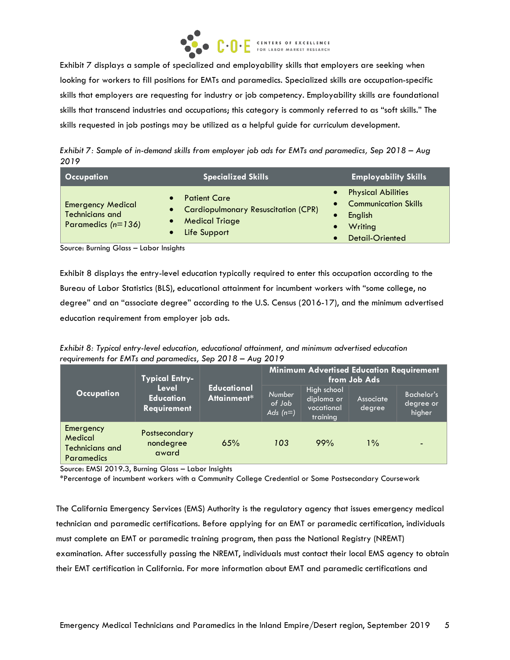

Exhibit 7 displays a sample of specialized and employability skills that employers are seeking when looking for workers to fill positions for EMTs and paramedics. Specialized skills are occupation-specific skills that employers are requesting for industry or job competency. Employability skills are foundational skills that transcend industries and occupations; this category is commonly referred to as "soft skills." The skills requested in job postings may be utilized as a helpful guide for curriculum development.

*Exhibit 7: Sample of in-demand skills from employer job ads for EMTs and paramedics, Sep 2018 – Aug 2019*

| <b>Occupation</b>                                                          | <b>Specialized Skills</b>                                                                             | <b>Employability Skills</b>                                                                                    |
|----------------------------------------------------------------------------|-------------------------------------------------------------------------------------------------------|----------------------------------------------------------------------------------------------------------------|
| <b>Emergency Medical</b><br><b>Technicians and</b><br>Paramedics $(n=136)$ | <b>Patient Care</b><br>• Cardiopulmonary Resuscitation (CPR)<br><b>Medical Triage</b><br>Life Support | <b>Physical Abilities</b><br><b>Communication Skills</b><br>$\bullet$<br>English<br>Writing<br>Detail-Oriented |

Source: Burning Glass – Labor Insights

Exhibit 8 displays the entry-level education typically required to enter this occupation according to the Bureau of Labor Statistics (BLS), educational attainment for incumbent workers with "some college, no degree" and an "associate degree" according to the U.S. Census (2016-17), and the minimum advertised education requirement from employer job ads.

*Exhibit 8: Typical entry-level education, educational attainment, and minimum advertised education requirements for EMTs and paramedics, Sep 2018 – Aug 2019*

|                                                              | <b>Typical Entry-</b>                    |                                   |                                       | <b>Minimum Advertised Education Requirement</b>     | from Job Ads        |                                          |
|--------------------------------------------------------------|------------------------------------------|-----------------------------------|---------------------------------------|-----------------------------------------------------|---------------------|------------------------------------------|
| <b>Occupation</b>                                            | Level<br><b>Education</b><br>Requirement | <b>Educational</b><br>Attainment* | <b>Number</b><br>of Job<br>Ads $(n=)$ | High school<br>diploma or<br>vocational<br>training | Associate<br>degree | <b>Bachelor's</b><br>degree or<br>higher |
| Emergency<br>Medical<br><b>Technicians and</b><br>Paramedics | Postsecondary<br>nondegree<br>award      | 65%                               | 103                                   | 99%                                                 | $1\%$               |                                          |

Source: EMSI 2019.3, Burning Glass – Labor Insights

\*Percentage of incumbent workers with a Community College Credential or Some Postsecondary Coursework

The California Emergency Services (EMS) Authority is the regulatory agency that issues emergency medical technician and paramedic certifications. Before applying for an EMT or paramedic certification, individuals must complete an EMT or paramedic training program, then pass the National Registry (NREMT) examination. After successfully passing the NREMT, individuals must contact their local EMS agency to obtain their EMT certification in California. For more information about EMT and paramedic certifications and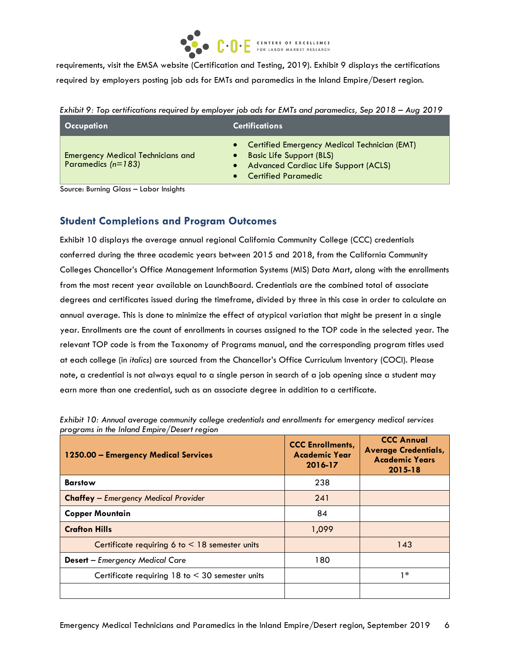

requirements, visit the EMSA website (Certification and Testing, 2019). Exhibit 9 displays the certifications required by employers posting job ads for EMTs and paramedics in the Inland Empire/Desert region.

| Occupation                                                       | <b>Certifications</b>                                                                                                                                        |
|------------------------------------------------------------------|--------------------------------------------------------------------------------------------------------------------------------------------------------------|
| <b>Emergency Medical Technicians and</b><br>Paramedics $(n=183)$ | Certified Emergency Medical Technician (EMT)<br><b>Basic Life Support (BLS)</b><br><b>Advanced Cardiac Life Support (ACLS)</b><br><b>Certified Paramedic</b> |

*Exhibit 9: Top certifications required by employer job ads for EMTs and paramedics, Sep 2018 – Aug 2019*

Source: Burning Glass – Labor Insights

# **Student Completions and Program Outcomes**

Exhibit 10 displays the average annual regional California Community College (CCC) credentials conferred during the three academic years between 2015 and 2018, from the California Community Colleges Chancellor's Office Management Information Systems (MIS) Data Mart, along with the enrollments from the most recent year available on LaunchBoard. Credentials are the combined total of associate degrees and certificates issued during the timeframe, divided by three in this case in order to calculate an annual average. This is done to minimize the effect of atypical variation that might be present in a single year. Enrollments are the count of enrollments in courses assigned to the TOP code in the selected year. The relevant TOP code is from the Taxonomy of Programs manual, and the corresponding program titles used at each college (in *italics*) are sourced from the Chancellor's Office Curriculum Inventory (COCI). Please note, a credential is not always equal to a single person in search of a job opening since a student may earn more than one credential, such as an associate degree in addition to a certificate.

| 1250.00 - Emergency Medical Services                   | <b>CCC Enrollments,</b><br><b>Academic Year</b><br>2016-17 | <b>CCC Annual</b><br><b>Average Credentials,</b><br><b>Academic Years</b><br>2015-18 |
|--------------------------------------------------------|------------------------------------------------------------|--------------------------------------------------------------------------------------|
| <b>Barstow</b>                                         | 238                                                        |                                                                                      |
| <b>Chaffey</b> - Emergency Medical Provider            | 241                                                        |                                                                                      |
| <b>Copper Mountain</b>                                 | 84                                                         |                                                                                      |
| <b>Crafton Hills</b>                                   | 1,099                                                      |                                                                                      |
| Certificate requiring 6 to $<$ 18 semester units       |                                                            | 143                                                                                  |
| <b>Desert</b> - Emergency Medical Care                 | 180                                                        |                                                                                      |
| Certificate requiring $18$ to $\leq 30$ semester units |                                                            | 1 *                                                                                  |
|                                                        |                                                            |                                                                                      |

*Exhibit 10: Annual average community college credentials and enrollments for emergency medical services programs in the Inland Empire/Desert region*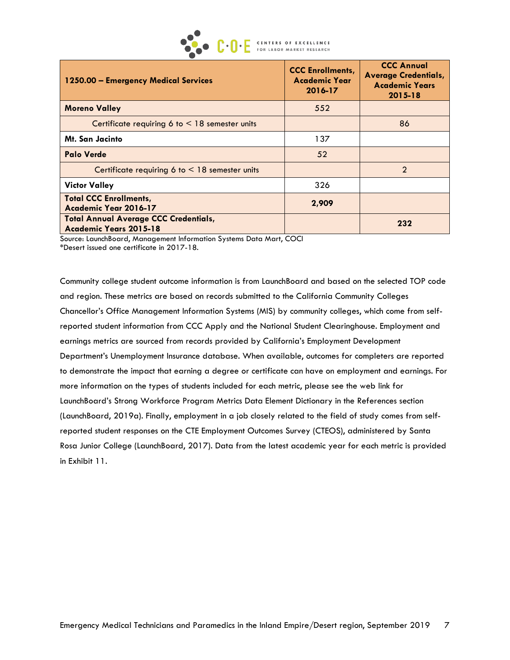CENTERS OF EXCELLENCE<br>FOR LABOR MARKET RESEARCH

| 1250.00 - Emergency Medical Services                                          | <b>CCC Enrollments,</b><br>Academic Year<br>2016-17 | <b>CCC Annual</b><br><b>Average Credentials,</b><br><b>Academic Years</b><br>2015-18 |  |
|-------------------------------------------------------------------------------|-----------------------------------------------------|--------------------------------------------------------------------------------------|--|
| <b>Moreno Valley</b>                                                          | 552                                                 |                                                                                      |  |
| Certificate requiring 6 to $\leq$ 18 semester units                           |                                                     | 86                                                                                   |  |
| <b>Mt. San Jacinto</b>                                                        | 137                                                 |                                                                                      |  |
| <b>Palo Verde</b>                                                             | 52                                                  |                                                                                      |  |
| Certificate requiring 6 to $\leq$ 18 semester units                           |                                                     | $\overline{2}$                                                                       |  |
| <b>Victor Valley</b>                                                          | 326                                                 |                                                                                      |  |
| <b>Total CCC Enrollments,</b><br>Academic Year 2016-17                        | 2,909                                               |                                                                                      |  |
| <b>Total Annual Average CCC Credentials,</b><br><b>Academic Years 2015-18</b> |                                                     | 232                                                                                  |  |

Source: LaunchBoard, Management Information Systems Data Mart, COCI \*Desert issued one certificate in 2017-18.

Community college student outcome information is from LaunchBoard and based on the selected TOP code and region. These metrics are based on records submitted to the California Community Colleges Chancellor's Office Management Information Systems (MIS) by community colleges, which come from selfreported student information from CCC Apply and the National Student Clearinghouse. Employment and earnings metrics are sourced from records provided by California's Employment Development Department's Unemployment Insurance database. When available, outcomes for completers are reported to demonstrate the impact that earning a degree or certificate can have on employment and earnings. For more information on the types of students included for each metric, please see the web link for LaunchBoard's Strong Workforce Program Metrics Data Element Dictionary in the References section (LaunchBoard, 2019a). Finally, employment in a job closely related to the field of study comes from selfreported student responses on the CTE Employment Outcomes Survey (CTEOS), administered by Santa Rosa Junior College (LaunchBoard, 2017). Data from the latest academic year for each metric is provided in Exhibit 11.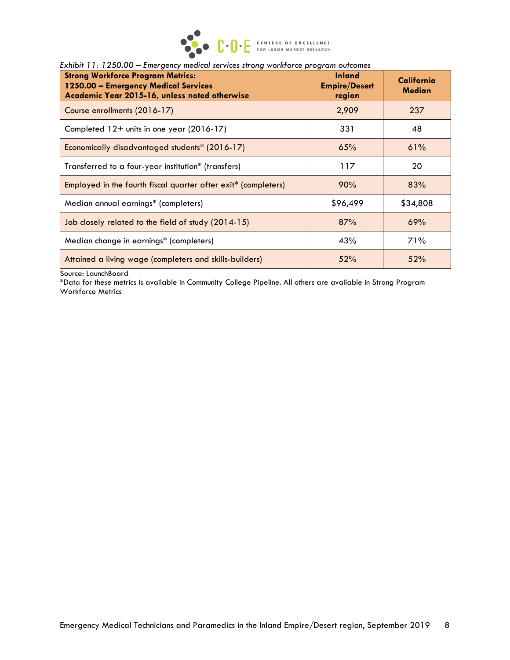

| <b>Strong Workforce Program Metrics:</b><br>1250.00 - Emergency Medical Services<br>Academic Year 2015-16, unless noted otherwise | <b>Inland</b><br><b>Empire/Desert</b><br>region | California<br><b>Median</b> |  |
|-----------------------------------------------------------------------------------------------------------------------------------|-------------------------------------------------|-----------------------------|--|
| Course enrollments (2016-17)                                                                                                      | 2,909                                           | 237                         |  |
| Completed 12+ units in one year (2016-17)                                                                                         | 331                                             | 48                          |  |
| Economically disadvantaged students* (2016-17)                                                                                    | 65%                                             | 61%                         |  |
| Transferred to a four-year institution* (transfers)                                                                               | 117                                             | 20                          |  |
| Employed in the fourth fiscal quarter after exit* (completers)                                                                    | 90%                                             | 83%                         |  |
| Median annual earnings* (completers)                                                                                              | \$96,499                                        | \$34,808                    |  |
| Job closely related to the field of study (2014-15)                                                                               | 87%                                             | 69%                         |  |
| Median change in earnings* (completers)                                                                                           | 43%                                             | 71%                         |  |
| Attained a living wage (completers and skills-builders)                                                                           | 52%                                             | 52%                         |  |

*Exhibit 11: 1250.00 – Emergency medical services strong workforce program outcomes*

Source: LaunchBoard

\*Data for these metrics is available in Community College Pipeline. All others are available in Strong Program Workforce Metrics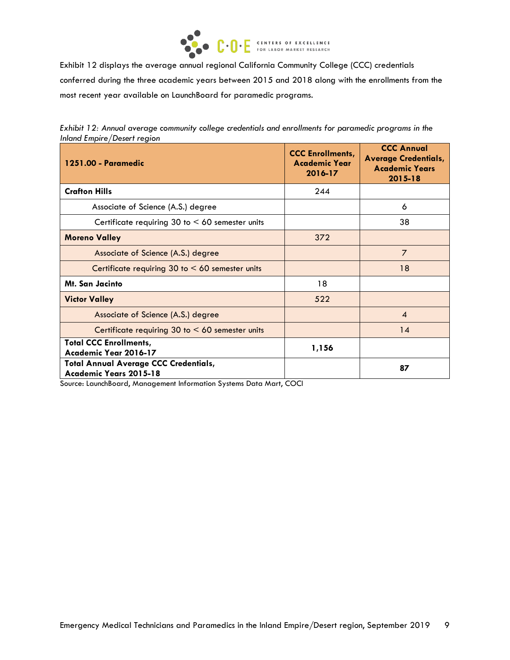

Exhibit 12 displays the average annual regional California Community College (CCC) credentials conferred during the three academic years between 2015 and 2018 along with the enrollments from the most recent year available on LaunchBoard for paramedic programs.

|                             |  |  |  | Exhibit 12: Annual average community college credentials and enrollments for paramedic programs in the |  |
|-----------------------------|--|--|--|--------------------------------------------------------------------------------------------------------|--|
| Inland Empire/Desert region |  |  |  |                                                                                                        |  |

| 1251.00 - Paramedic                                                    | <b>CCC Enrollments.</b><br><b>Academic Year</b><br>2016-17 | <b>CCC Annual</b><br><b>Average Credentials,</b><br><b>Academic Years</b><br>$2015 - 18$ |
|------------------------------------------------------------------------|------------------------------------------------------------|------------------------------------------------------------------------------------------|
| <b>Crafton Hills</b>                                                   | 244                                                        |                                                                                          |
| Associate of Science (A.S.) degree                                     |                                                            | 6                                                                                        |
| Certificate requiring 30 to $< 60$ semester units                      |                                                            | 38                                                                                       |
| <b>Moreno Valley</b>                                                   | 372                                                        |                                                                                          |
| Associate of Science (A.S.) degree                                     |                                                            | $\overline{7}$                                                                           |
| Certificate requiring 30 to $< 60$ semester units                      |                                                            | 18                                                                                       |
| Mt. San Jacinto                                                        | 18                                                         |                                                                                          |
| <b>Victor Valley</b>                                                   | 522                                                        |                                                                                          |
| Associate of Science (A.S.) degree                                     |                                                            | $\boldsymbol{A}$                                                                         |
| Certificate requiring $30$ to $\leq 60$ semester units                 |                                                            | 14                                                                                       |
| <b>Total CCC Enrollments,</b><br>Academic Year 2016-17                 | 1,156                                                      |                                                                                          |
| <b>Total Annual Average CCC Credentials,</b><br>Academic Years 2015-18 |                                                            | 87                                                                                       |

Source: LaunchBoard, Management Information Systems Data Mart, COCI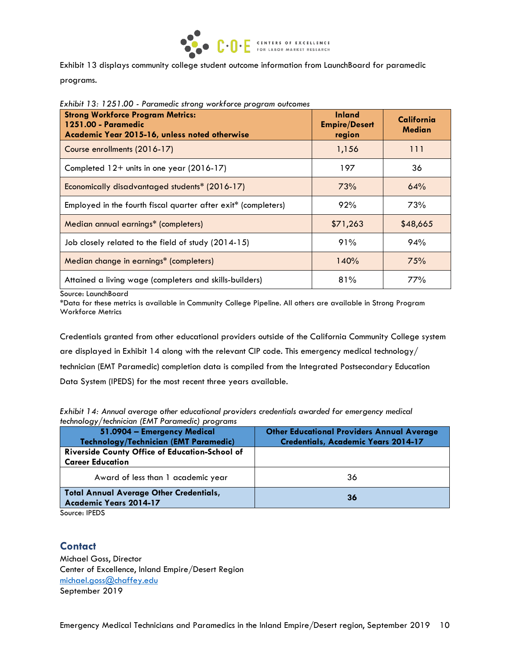

Exhibit 13 displays community college student outcome information from LaunchBoard for paramedic programs.

| <b>Strong Workforce Program Metrics:</b><br>1251.00 - Paramedic<br>Academic Year 2015-16, unless noted otherwise | <b>Inland</b><br><b>Empire/Desert</b><br>region | California<br><b>Median</b> |
|------------------------------------------------------------------------------------------------------------------|-------------------------------------------------|-----------------------------|
| Course enrollments (2016-17)                                                                                     | 1,156                                           | 111                         |
| Completed 12+ units in one year (2016-17)                                                                        | 197                                             | 36                          |
| Economically disadvantaged students* (2016-17)                                                                   | 73%                                             | 64%                         |
| Employed in the fourth fiscal quarter after exit* (completers)                                                   | 92%                                             | 73%                         |
| Median annual earnings* (completers)                                                                             | \$71,263                                        | \$48,665                    |
| Job closely related to the field of study (2014-15)                                                              | 91%                                             | 94%                         |
| Median change in earnings* (completers)                                                                          | 140%                                            | 75%                         |
| Attained a living wage (completers and skills-builders)                                                          | 81%                                             | 77%                         |

*Exhibit 13: 1251.00 - Paramedic strong workforce program outcomes*

Source: LaunchBoard

\*Data for these metrics is available in Community College Pipeline. All others are available in Strong Program Workforce Metrics

Credentials granted from other educational providers outside of the California Community College system are displayed in Exhibit 14 along with the relevant CIP code. This emergency medical technology/ technician (EMT Paramedic) completion data is compiled from the Integrated Postsecondary Education Data System (IPEDS) for the most recent three years available.

*Exhibit 14: Annual average other educational providers credentials awarded for emergency medical technology/technician (EMT Paramedic) programs*

| 51.0904 - Emergency Medical                                                     | <b>Other Educational Providers Annual Average</b> |
|---------------------------------------------------------------------------------|---------------------------------------------------|
| Technology/Technician (EMT Paramedic)                                           | <b>Credentials, Academic Years 2014-17</b>        |
| Riverside County Office of Education-School of                                  |                                                   |
| <b>Career Education</b>                                                         |                                                   |
| Award of less than 1 academic year                                              | 36                                                |
| <b>Total Annual Average Other Credentials,</b><br><b>Academic Years 2014-17</b> | 36                                                |

Source: IPEDS

# **Contact**

Michael Goss, Director Center of Excellence, Inland Empire/Desert Region [michael.goss@chaffey.edu](mailto:michael.goss@chaffey.edu) September 2019